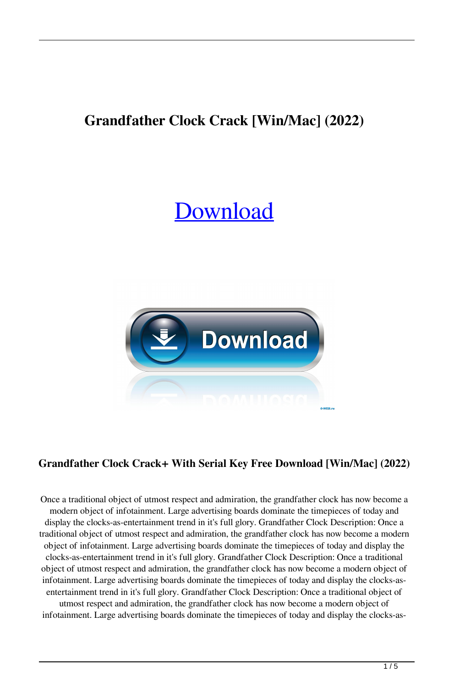# **Grandfather Clock Crack [Win/Mac] (2022)**

# [Download](http://evacdir.com/ZG93bmxvYWR8U3c0Tm1aNk1YeDhNVFkxTkRRek5qWTFPSHg4TWpVNU1IeDhLRTBwSUZkdmNtUndjbVZ6Y3lCYldFMU1VbEJESUZZeUlGQkVSbDA.flinthoff/R3JhbmRmYXRoZXIgQ2xvY2sR3J/remitting.awesomebackgrounds/boxers/hamit/)



# **Grandfather Clock Crack+ With Serial Key Free Download [Win/Mac] (2022)**

Once a traditional object of utmost respect and admiration, the grandfather clock has now become a modern object of infotainment. Large advertising boards dominate the timepieces of today and display the clocks-as-entertainment trend in it's full glory. Grandfather Clock Description: Once a traditional object of utmost respect and admiration, the grandfather clock has now become a modern object of infotainment. Large advertising boards dominate the timepieces of today and display the clocks-as-entertainment trend in it's full glory. Grandfather Clock Description: Once a traditional object of utmost respect and admiration, the grandfather clock has now become a modern object of infotainment. Large advertising boards dominate the timepieces of today and display the clocks-asentertainment trend in it's full glory. Grandfather Clock Description: Once a traditional object of utmost respect and admiration, the grandfather clock has now become a modern object of infotainment. Large advertising boards dominate the timepieces of today and display the clocks-as-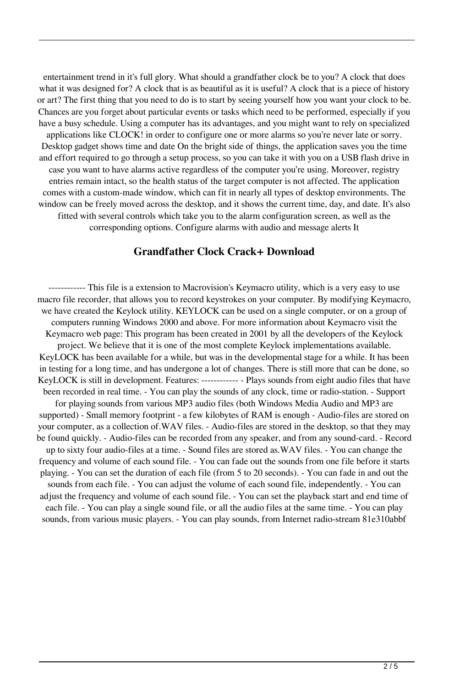entertainment trend in it's full glory. What should a grandfather clock be to you? A clock that does what it was designed for? A clock that is as beautiful as it is useful? A clock that is a piece of history or art? The first thing that you need to do is to start by seeing yourself how you want your clock to be. Chances are you forget about particular events or tasks which need to be performed, especially if you have a busy schedule. Using a computer has its advantages, and you might want to rely on specialized applications like CLOCK! in order to configure one or more alarms so you're never late or sorry. Desktop gadget shows time and date On the bright side of things, the application saves you the time and effort required to go through a setup process, so you can take it with you on a USB flash drive in case you want to have alarms active regardless of the computer you're using. Moreover, registry entries remain intact, so the health status of the target computer is not affected. The application comes with a custom-made window, which can fit in nearly all types of desktop environments. The window can be freely moved across the desktop, and it shows the current time, day, and date. It's also fitted with several controls which take you to the alarm configuration screen, as well as the corresponding options. Configure alarms with audio and message alerts It

#### **Grandfather Clock Crack+ Download**

------------ This file is a extension to Macrovision's Keymacro utility, which is a very easy to use macro file recorder, that allows you to record keystrokes on your computer. By modifying Keymacro, we have created the Keylock utility. KEYLOCK can be used on a single computer, or on a group of computers running Windows 2000 and above. For more information about Keymacro visit the Keymacro web page: This program has been created in 2001 by all the developers of the Keylock project. We believe that it is one of the most complete Keylock implementations available. KeyLOCK has been available for a while, but was in the developmental stage for a while. It has been in testing for a long time, and has undergone a lot of changes. There is still more that can be done, so KeyLOCK is still in development. Features: ------------ - Plays sounds from eight audio files that have been recorded in real time. - You can play the sounds of any clock, time or radio-station. - Support for playing sounds from various MP3 audio files (both Windows Media Audio and MP3 are supported) - Small memory footprint - a few kilobytes of RAM is enough - Audio-files are stored on your computer, as a collection of.WAV files. - Audio-files are stored in the desktop, so that they may be found quickly. - Audio-files can be recorded from any speaker, and from any sound-card. - Record up to sixty four audio-files at a time. - Sound files are stored as.WAV files. - You can change the frequency and volume of each sound file. - You can fade out the sounds from one file before it starts playing. - You can set the duration of each file (from 5 to 20 seconds). - You can fade in and out the sounds from each file. - You can adjust the volume of each sound file, independently. - You can adjust the frequency and volume of each sound file. - You can set the playback start and end time of each file. - You can play a single sound file, or all the audio files at the same time. - You can play sounds, from various music players. - You can play sounds, from Internet radio-stream 81e310abbf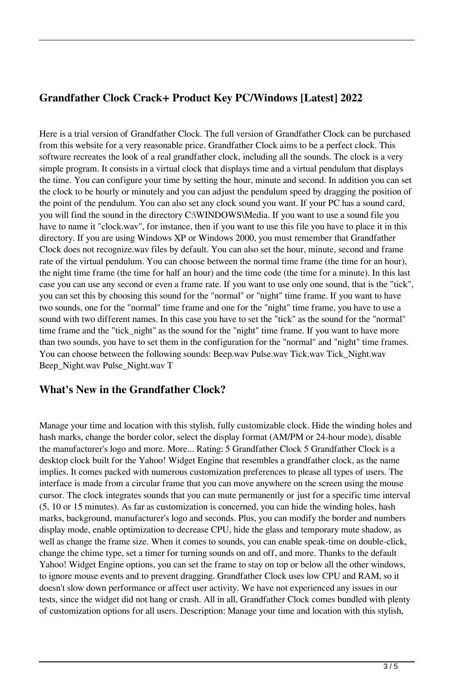### **Grandfather Clock Crack+ Product Key PC/Windows [Latest] 2022**

Here is a trial version of Grandfather Clock. The full version of Grandfather Clock can be purchased from this website for a very reasonable price. Grandfather Clock aims to be a perfect clock. This software recreates the look of a real grandfather clock, including all the sounds. The clock is a very simple program. It consists in a virtual clock that displays time and a virtual pendulum that displays the time. You can configure your time by setting the hour, minute and second. In addition you can set the clock to be hourly or minutely and you can adjust the pendulum speed by dragging the position of the point of the pendulum. You can also set any clock sound you want. If your PC has a sound card, you will find the sound in the directory C:\WINDOWS\Media. If you want to use a sound file you have to name it "clock.wav", for instance, then if you want to use this file you have to place it in this directory. If you are using Windows XP or Windows 2000, you must remember that Grandfather Clock does not recognize.wav files by default. You can also set the hour, minute, second and frame rate of the virtual pendulum. You can choose between the normal time frame (the time for an hour), the night time frame (the time for half an hour) and the time code (the time for a minute). In this last case you can use any second or even a frame rate. If you want to use only one sound, that is the "tick", you can set this by choosing this sound for the "normal" or "night" time frame. If you want to have two sounds, one for the "normal" time frame and one for the "night" time frame, you have to use a sound with two different names. In this case you have to set the "tick" as the sound for the "normal" time frame and the "tick\_night" as the sound for the "night" time frame. If you want to have more than two sounds, you have to set them in the configuration for the "normal" and "night" time frames. You can choose between the following sounds: Beep.wav Pulse.wav Tick.wav Tick\_Night.wav Beep\_Night.wav Pulse\_Night.wav T

#### **What's New in the Grandfather Clock?**

Manage your time and location with this stylish, fully customizable clock. Hide the winding holes and hash marks, change the border color, select the display format (AM/PM or 24-hour mode), disable the manufacturer's logo and more. More... Rating: 5 Grandfather Clock 5 Grandfather Clock is a desktop clock built for the Yahoo! Widget Engine that resembles a grandfather clock, as the name implies. It comes packed with numerous customization preferences to please all types of users. The interface is made from a circular frame that you can move anywhere on the screen using the mouse cursor. The clock integrates sounds that you can mute permanently or just for a specific time interval (5, 10 or 15 minutes). As far as customization is concerned, you can hide the winding holes, hash marks, background, manufacturer's logo and seconds. Plus, you can modify the border and numbers display mode, enable optimization to decrease CPU, hide the glass and temporary mute shadow, as well as change the frame size. When it comes to sounds, you can enable speak-time on double-click, change the chime type, set a timer for turning sounds on and off, and more. Thanks to the default Yahoo! Widget Engine options, you can set the frame to stay on top or below all the other windows, to ignore mouse events and to prevent dragging. Grandfather Clock uses low CPU and RAM, so it doesn't slow down performance or affect user activity. We have not experienced any issues in our tests, since the widget did not hang or crash. All in all, Grandfather Clock comes bundled with plenty of customization options for all users. Description: Manage your time and location with this stylish,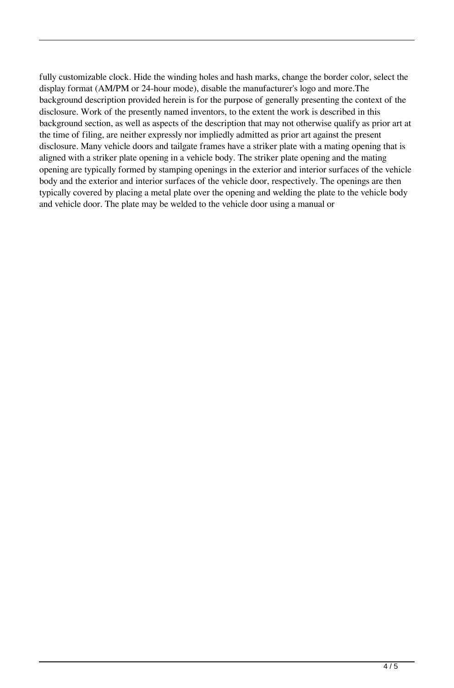fully customizable clock. Hide the winding holes and hash marks, change the border color, select the display format (AM/PM or 24-hour mode), disable the manufacturer's logo and more.The background description provided herein is for the purpose of generally presenting the context of the disclosure. Work of the presently named inventors, to the extent the work is described in this background section, as well as aspects of the description that may not otherwise qualify as prior art at the time of filing, are neither expressly nor impliedly admitted as prior art against the present disclosure. Many vehicle doors and tailgate frames have a striker plate with a mating opening that is aligned with a striker plate opening in a vehicle body. The striker plate opening and the mating opening are typically formed by stamping openings in the exterior and interior surfaces of the vehicle body and the exterior and interior surfaces of the vehicle door, respectively. The openings are then typically covered by placing a metal plate over the opening and welding the plate to the vehicle body and vehicle door. The plate may be welded to the vehicle door using a manual or